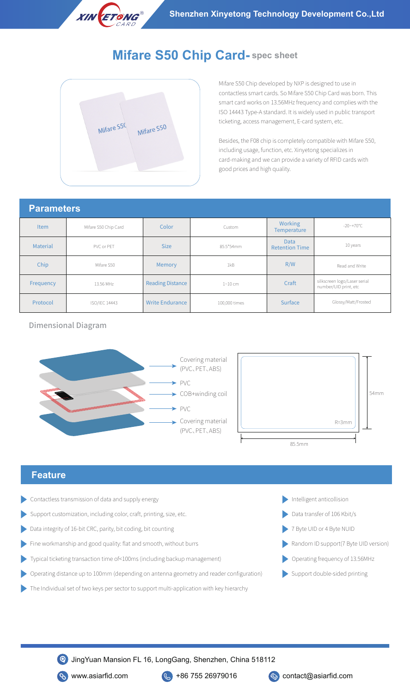

# **Mifare S50 Chip Card- spec sheet**



Mifare S50 Chip developed by NXP is designed to use in contactless smart cards. So Mifare S50 Chip Card was born. This smart card works on 13.56MHz frequency and complies with the ISO 14443 Type-A standard. It is widely used in public transport ticketing, access management, E-card system, etc.

Besides, the F08 chip is completely compatible with Mifare S50, including usage, function, etc. Xinyetong specializes in card-making and we can provide a variety of RFID cards with good prices and high quality.

### **Parameters**

| l alalll <del>o</del> lois |                      |                         |               |                                      |                                                       |
|----------------------------|----------------------|-------------------------|---------------|--------------------------------------|-------------------------------------------------------|
| <b>Item</b>                | Mifare S50 Chip Card | Color                   | Custom        | Working<br><b>Temperature</b>        | $-20$ ~ +70 °C                                        |
| <b>Material</b>            | PVC or PET           | <b>Size</b>             | 85.5*54mm     | <b>Data</b><br><b>Retention Time</b> | 10 years                                              |
| Chip                       | Mifare S50           | Memory                  | 1kB           | R/W                                  | Read and Write                                        |
| Frequency                  | 13.56 MHz            | <b>Reading Distance</b> | 1~10~cm       | Craft                                | silkscreen logo/Laser serial<br>number/UID print, etc |
| Protocol                   | ISO/IEC 14443        | <b>Write Endurance</b>  | 100,000 times | Surface                              | Glossy/Matt/Frosted                                   |

Dimensional Diagram





#### **Feature**

- Contactless transmission of data and supply energy
- Support customization, including color, craft, printing, size, etc. Data transfer of 106 Kbit/s
- Data integrity of 16-bit CRC, parity, bit coding, bit counting
- Fine workmanship and good quality: flat and smooth, without burrs
- Typical ticketing transaction time of<100ms (including backup management)
- Operating distance up to 100mm (depending on antenna geometry and reader configuration)
- The Individual set of two keys per sector to support multi-application with key hierarchy
- Intelligent anticollision
- 
- 7 Byte UID or 4 Byte NUID
- Random ID support(7 Byte UID version)
- Operating frequency of 13.56MHz
- Support double-sided printing

JingYuan Mansion FL 16, LongGang, Shenzhen, China 518112

www.asiarfid.com  $\left(\frac{1}{2}\right)$  +86 755 26979016  $\left(\frac{1}{2}\right)$  contact@asiarfid.com